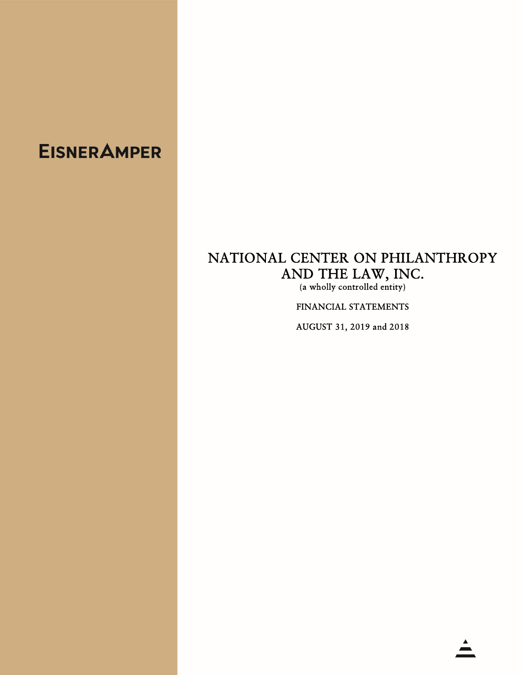# **EISNER AMPER**

# NATIONAL CENTER ON PHILANTHROPY AND THE LAW, INC.<br>(a wholly controlled entity)

FINANCIAL STATEMENTS

AUGUST 31, 2019 and 2018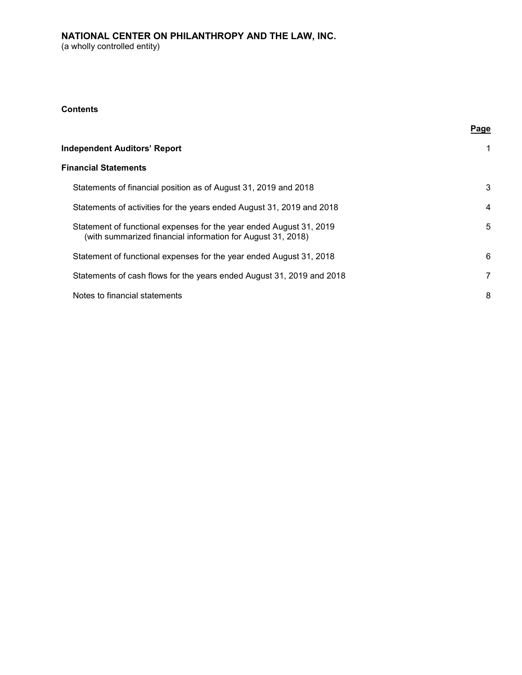# **Contents**

|  | Page |
|--|------|
|--|------|

| <b>Independent Auditors' Report</b>                                                                                                |              |
|------------------------------------------------------------------------------------------------------------------------------------|--------------|
| <b>Financial Statements</b>                                                                                                        |              |
| Statements of financial position as of August 31, 2019 and 2018                                                                    | 3            |
| Statements of activities for the years ended August 31, 2019 and 2018                                                              | 4            |
| Statement of functional expenses for the year ended August 31, 2019<br>(with summarized financial information for August 31, 2018) | 5            |
| Statement of functional expenses for the year ended August 31, 2018                                                                | 6            |
| Statements of cash flows for the years ended August 31, 2019 and 2018                                                              | $\mathbf{7}$ |
| Notes to financial statements                                                                                                      | 8            |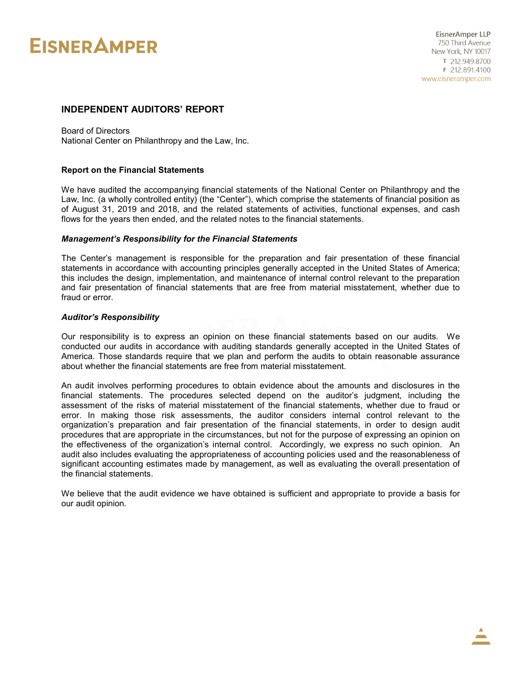# **EISNER AMPER**

#### l, INDEPENDENT AUDITORS' REPORT

Board of Directors National Center on Philanthropy and the Law, Inc.

#### Report on the Financial Statements

We have audited the accompanying financial statements of the National Center on Philanthropy and the Law, Inc. (a wholly controlled entity) (the "Center"), which comprise the statements of financial position as of August 31, 2019 and 2018, and the related statements of activities, functional expenses, and cash flows for the years then ended, and the related notes to the financial statements.

#### Management's Responsibility for the Financial Statements

The Center's management is responsible for the preparation and fair presentation of these financial statements in accordance with accounting principles generally accepted in the United States of America; this includes the design, implementation, and maintenance of internal control relevant to the preparation and fair presentation of financial statements that are free from material misstatement, whether due to fraud or error.

#### Auditor's Responsibility

Our responsibility is to express an opinion on these financial statements based on our audits. We conducted our audits in accordance with auditing standards generally accepted in the United States of America. Those standards require that we plan and perform the audits to obtain reasonable assurance about whether the financial statements are free from material misstatement.

An audit involves performing procedures to obtain evidence about the amounts and disclosures in the financial statements. The procedures selected depend on the auditor's judgment, including the assessment of the risks of material misstatement of the financial statements, whether due to fraud or error. In making those risk assessments, the auditor considers internal control relevant to the organization's preparation and fair presentation of the financial statements, in order to design audit procedures that are appropriate in the circumstances, but not for the purpose of expressing an opinion on the effectiveness of the organization's internal control. Accordingly, we express no such opinion. An audit also includes evaluating the appropriateness of accounting policies used and the reasonableness of significant accounting estimates made by management, as well as evaluating the overall presentation of the financial statements.

We believe that the audit evidence we have obtained is sufficient and appropriate to provide a basis for our audit opinion.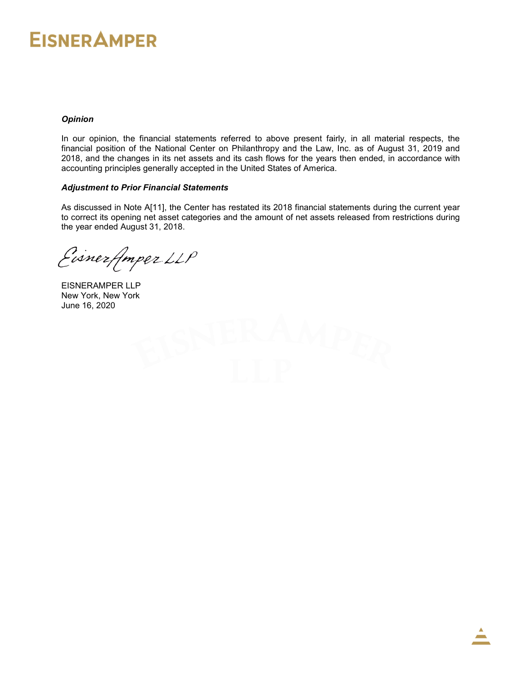# **EISNER AMPER**

# **Opinion**

In our opinion, the financial statements referred to above present fairly, in all material respects, the financial position of the National Center on Philanthropy and the Law, Inc. as of August 31, 2019 and 2018, and the changes in its net assets and its cash flows for the years then ended, in accordance with accounting principles generally accepted in the United States of America.

# Adjustment to Prior Financial Statements

As discussed in Note A[11], the Center has restated its 2018 financial statements during the current year to correct its opening net asset categories and the amount of net assets released from restrictions during the year ended August 31, 2018.

Eisnerfmper LLP

EISNERAMPER LLP New York, New York June 16, 2020

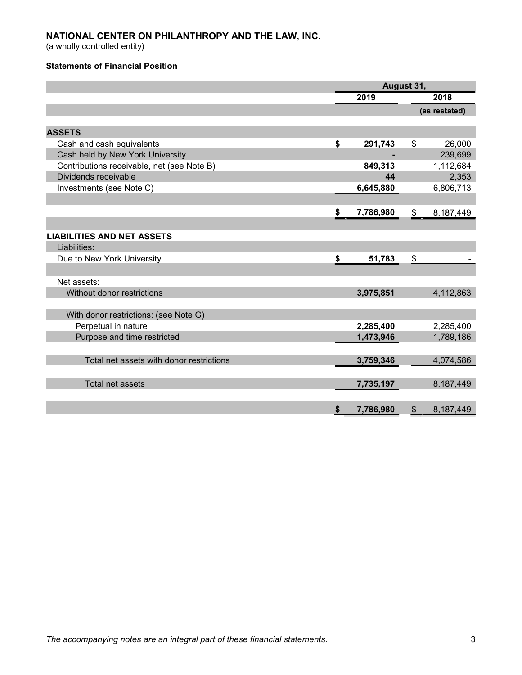(a wholly controlled entity)

# Statements of Financial Position

|                                            | August 31,      |                |               |  |  |
|--------------------------------------------|-----------------|----------------|---------------|--|--|
|                                            | 2019            |                | 2018          |  |  |
|                                            |                 |                | (as restated) |  |  |
|                                            |                 |                |               |  |  |
| <b>ASSETS</b>                              |                 |                |               |  |  |
| Cash and cash equivalents                  | \$<br>291,743   | \$             | 26,000        |  |  |
| Cash held by New York University           |                 |                | 239,699       |  |  |
| Contributions receivable, net (see Note B) | 849,313         |                | 1,112,684     |  |  |
| Dividends receivable                       | 44              |                | 2,353         |  |  |
| Investments (see Note C)                   | 6,645,880       |                | 6,806,713     |  |  |
|                                            |                 |                |               |  |  |
|                                            | \$<br>7,786,980 | \$             | 8,187,449     |  |  |
|                                            |                 |                |               |  |  |
| <b>LIABILITIES AND NET ASSETS</b>          |                 |                |               |  |  |
| Liabilities:                               |                 |                |               |  |  |
| Due to New York University                 | \$<br>51,783    | \$             |               |  |  |
|                                            |                 |                |               |  |  |
| Net assets:                                |                 |                |               |  |  |
| Without donor restrictions                 | 3,975,851       |                | 4,112,863     |  |  |
|                                            |                 |                |               |  |  |
| With donor restrictions: (see Note G)      |                 |                |               |  |  |
| Perpetual in nature                        | 2,285,400       |                | 2,285,400     |  |  |
| Purpose and time restricted                | 1,473,946       |                | 1,789,186     |  |  |
|                                            |                 |                |               |  |  |
| Total net assets with donor restrictions   | 3,759,346       |                | 4,074,586     |  |  |
|                                            |                 |                |               |  |  |
| Total net assets                           | 7,735,197       |                | 8,187,449     |  |  |
|                                            |                 |                |               |  |  |
|                                            | \$<br>7,786,980 | $\mathfrak{S}$ | 8,187,449     |  |  |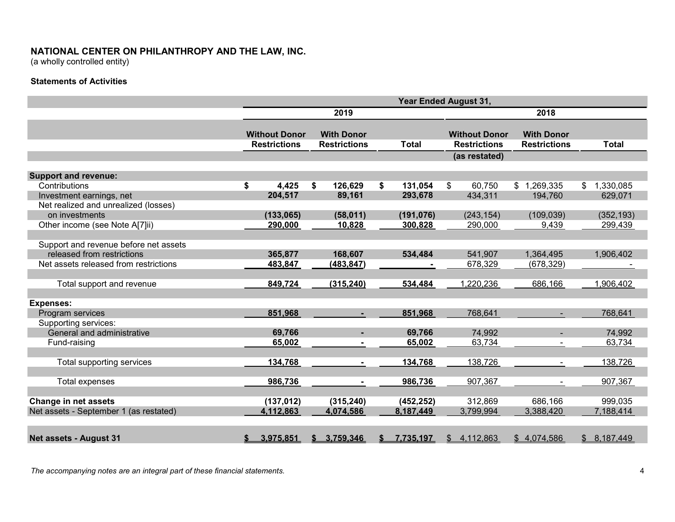(a wholly controlled entity)

# Statements of Activities

|                                        | <b>Year Ended August 31,</b> |                                             |    |                                          |    |              |                                             |      |                                          |                 |  |
|----------------------------------------|------------------------------|---------------------------------------------|----|------------------------------------------|----|--------------|---------------------------------------------|------|------------------------------------------|-----------------|--|
|                                        |                              |                                             |    | 2019                                     |    |              |                                             | 2018 |                                          |                 |  |
|                                        |                              | <b>Without Donor</b><br><b>Restrictions</b> |    | <b>With Donor</b><br><b>Restrictions</b> |    | <b>Total</b> | <b>Without Donor</b><br><b>Restrictions</b> |      | <b>With Donor</b><br><b>Restrictions</b> | <b>Total</b>    |  |
|                                        |                              |                                             |    |                                          |    |              | (as restated)                               |      |                                          |                 |  |
| <b>Support and revenue:</b>            |                              |                                             |    |                                          |    |              |                                             |      |                                          |                 |  |
| Contributions                          | \$                           | 4,425                                       | S. | 126,629                                  | \$ | 131,054      | $\mathfrak{S}$<br>60,750                    |      | \$1,269,335                              | 1,330,085<br>\$ |  |
| Investment earnings, net               |                              | 204,517                                     |    | 89,161                                   |    | 293,678      | 434,311                                     |      | 194,760                                  | 629,071         |  |
| Net realized and unrealized (losses)   |                              |                                             |    |                                          |    |              |                                             |      |                                          |                 |  |
| on investments                         |                              | (133, 065)                                  |    | (58,011)                                 |    | (191, 076)   | (243, 154)                                  |      | (109, 039)                               | (352, 193)      |  |
| Other income (see Note A[7]ii)         |                              | 290,000                                     |    | 10,828                                   |    | 300,828      | 290,000                                     |      | 9,439                                    | 299,439         |  |
|                                        |                              |                                             |    |                                          |    |              |                                             |      |                                          |                 |  |
| Support and revenue before net assets  |                              |                                             |    |                                          |    |              |                                             |      |                                          |                 |  |
| released from restrictions             |                              | 365,877                                     |    | 168,607                                  |    | 534,484      | 541,907                                     |      | 1,364,495                                | 1,906,402       |  |
| Net assets released from restrictions  |                              | 483,847                                     |    | (483, 847)                               |    |              | 678,329                                     |      | (678, 329)                               |                 |  |
|                                        |                              |                                             |    |                                          |    |              |                                             |      |                                          |                 |  |
| Total support and revenue              |                              | 849,724                                     |    | (315, 240)                               |    | 534,484      | 1,220,236                                   |      | 686,166                                  | 1,906,402       |  |
|                                        |                              |                                             |    |                                          |    |              |                                             |      |                                          |                 |  |
| <b>Expenses:</b>                       |                              |                                             |    |                                          |    |              |                                             |      |                                          |                 |  |
| Program services                       |                              | 851,968                                     |    | $\sim$                                   |    | 851,968      | 768,641                                     |      | $\sim$                                   | 768,641         |  |
| Supporting services:                   |                              |                                             |    |                                          |    |              |                                             |      |                                          |                 |  |
| General and administrative             |                              | 69,766                                      |    |                                          |    | 69,766       | 74,992                                      |      |                                          | 74,992          |  |
| Fund-raising                           |                              | 65,002                                      |    |                                          |    | 65,002       | 63,734                                      |      |                                          | 63,734          |  |
|                                        |                              |                                             |    |                                          |    |              |                                             |      |                                          |                 |  |
| Total supporting services              |                              | 134,768                                     |    | $\blacksquare$                           |    | 134,768      | 138,726                                     |      |                                          | 138,726         |  |
|                                        |                              |                                             |    |                                          |    |              |                                             |      |                                          |                 |  |
| Total expenses                         |                              | 986,736                                     |    | $\blacksquare$                           |    | 986,736      | 907,367                                     |      | $\blacksquare$                           | 907,367         |  |
|                                        |                              |                                             |    |                                          |    |              |                                             |      |                                          |                 |  |
| <b>Change in net assets</b>            |                              | (137, 012)                                  |    | (315, 240)                               |    | (452, 252)   | 312,869                                     |      | 686,166                                  | 999,035         |  |
| Net assets - September 1 (as restated) |                              | 4,112,863                                   |    | 4,074,586                                |    | 8,187,449    | 3,799,994                                   |      | 3,388,420                                | 7,188,414       |  |
|                                        |                              |                                             |    |                                          |    |              |                                             |      |                                          |                 |  |
|                                        |                              |                                             |    |                                          |    |              |                                             |      |                                          |                 |  |
| <b>Net assets - August 31</b>          | S.                           | 3,975,851                                   |    | \$3,759,346                              |    | 7,735,197    | \$4,112,863                                 |      | \$4,074,586                              | \$8,187,449     |  |

The accompanying notes are an integral part of these financial statements. The accompanying notes are an integral part of these financial statements.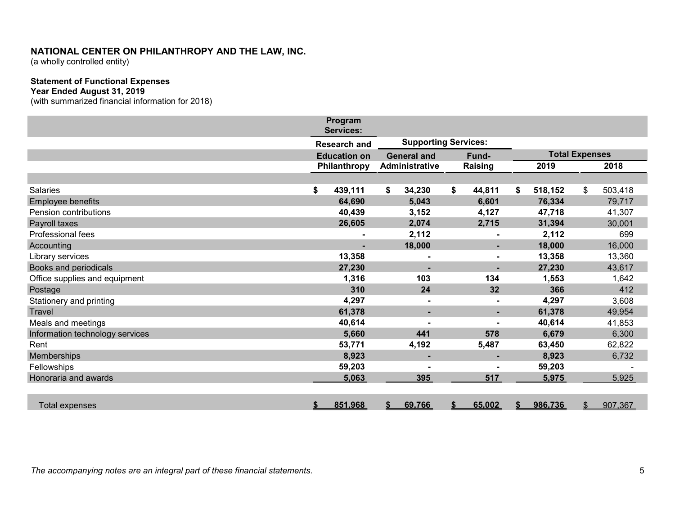(a wholly controlled entity)

# Statement of Functional Expenses

#### Year Ended August 31, 2019

(with summarized financial information for 2018)

|                                 | Program<br><b>Services:</b> |                             |                       |    |                |    |                       |               |         |
|---------------------------------|-----------------------------|-----------------------------|-----------------------|----|----------------|----|-----------------------|---------------|---------|
|                                 | <b>Research and</b>         | <b>Supporting Services:</b> |                       |    |                |    |                       |               |         |
|                                 | <b>Education on</b>         | <b>General and</b>          |                       |    | Fund-          |    | <b>Total Expenses</b> |               |         |
|                                 | Philanthropy                |                             | <b>Administrative</b> |    | Raising        |    | 2019                  |               | 2018    |
|                                 |                             |                             |                       |    |                |    |                       |               |         |
| <b>Salaries</b>                 | \$<br>439,111               | \$                          | 34,230                | \$ | 44,811         | \$ | 518,152               | \$            | 503,418 |
| Employee benefits               | 64,690                      |                             | 5,043                 |    | 6,601          |    | 76,334                |               | 79,717  |
| Pension contributions           | 40,439                      |                             | 3,152                 |    | 4,127          |    | 47,718                |               | 41,307  |
| Payroll taxes                   | 26,605                      |                             | 2,074                 |    | 2,715          |    | 31,394                |               | 30,001  |
| Professional fees               |                             |                             | 2,112                 |    |                |    | 2,112                 |               | 699     |
| Accounting                      |                             |                             | 18,000                |    | $\blacksquare$ |    | 18,000                |               | 16,000  |
| Library services                | 13,358                      |                             |                       |    |                |    | 13,358                |               | 13,360  |
| Books and periodicals           | 27,230                      |                             | ٠                     |    | $\blacksquare$ |    | 27,230                |               | 43,617  |
| Office supplies and equipment   | 1,316                       |                             | 103                   |    | 134            |    | 1,553                 |               | 1,642   |
| Postage                         | 310                         |                             | 24                    |    | 32             |    | 366                   |               | 412     |
| Stationery and printing         | 4,297                       |                             |                       |    |                |    | 4,297                 |               | 3,608   |
| <b>Travel</b>                   | 61,378                      |                             | -                     |    | ÷              |    | 61,378                |               | 49,954  |
| Meals and meetings              | 40,614                      |                             |                       |    |                |    | 40,614                |               | 41,853  |
| Information technology services | 5,660                       |                             | 441                   |    | 578            |    | 6,679                 |               | 6,300   |
| Rent                            | 53,771                      |                             | 4,192                 |    | 5,487          |    | 63,450                |               | 62,822  |
| Memberships                     | 8,923                       |                             | $\blacksquare$        |    | ۰.             |    | 8,923                 |               | 6,732   |
| Fellowships                     | 59,203                      |                             |                       |    |                |    | 59,203                |               |         |
| Honoraria and awards            | 5,063                       |                             | 395                   |    | 517            |    | 5,975                 |               | 5,925   |
|                                 |                             |                             |                       |    |                |    |                       |               |         |
| <b>Total expenses</b>           | \$<br>851,968               | \$                          | 69,766                |    | 65,002         | S  | 986,736               | $\frac{1}{2}$ | 907,367 |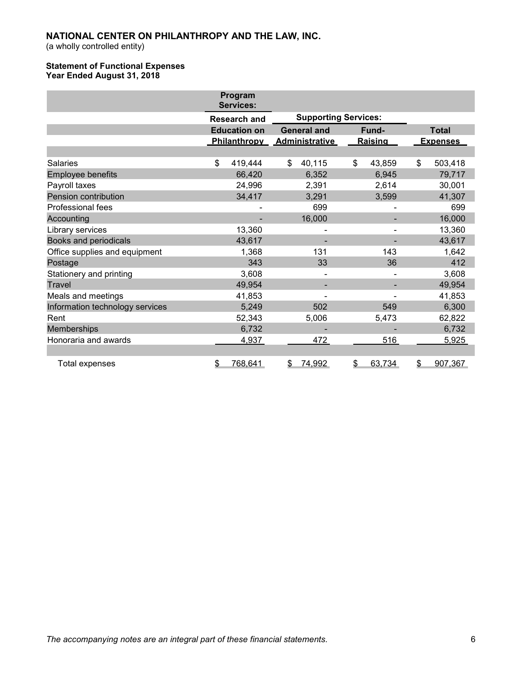(a wholly controlled entity)

## Statement of Functional Expenses Year Ended August 31, 2018

|                                 | Program<br><b>Services:</b> |                             |              |                 |
|---------------------------------|-----------------------------|-----------------------------|--------------|-----------------|
|                                 | <b>Research and</b>         | <b>Supporting Services:</b> |              |                 |
|                                 | <b>Education on</b>         | <b>General and</b>          | Fund-        | <b>Total</b>    |
|                                 |                             | Philanthropy Administrative | Raising      | <b>Expenses</b> |
|                                 |                             |                             |              |                 |
| <b>Salaries</b>                 | \$<br>419,444               | \$<br>40,115                | \$<br>43,859 | \$<br>503,418   |
| <b>Employee benefits</b>        | 66,420                      | 6,352                       | 6,945        | 79,717          |
| Payroll taxes                   | 24,996                      | 2,391                       | 2,614        | 30,001          |
| Pension contribution            | 34,417                      | 3,291                       | 3,599        | 41,307          |
| <b>Professional fees</b>        |                             | 699                         |              | 699             |
| Accounting                      |                             | 16,000                      |              | 16,000          |
| Library services                | 13,360                      |                             |              | 13,360          |
| Books and periodicals           | 43,617                      |                             |              | 43,617          |
| Office supplies and equipment   | 1,368                       | 131                         | 143          | 1,642           |
| Postage                         | 343                         | 33                          | 36           | 412             |
| Stationery and printing         | 3,608                       |                             |              | 3,608           |
| <b>Travel</b>                   | 49,954                      |                             |              | 49,954          |
| Meals and meetings              | 41,853                      |                             |              | 41,853          |
| Information technology services | 5,249                       | 502                         | 549          | 6,300           |
| Rent                            | 52,343                      | 5,006                       | 5,473        | 62,822          |
| Memberships                     | 6,732                       |                             |              | 6,732           |
| Honoraria and awards            | 4,937                       | 472                         | 516          | 5,925           |
|                                 |                             |                             |              |                 |
| <b>Total expenses</b>           | 768,641<br>\$               | 74,992<br>\$                | 63,734<br>\$ | 907,367<br>\$   |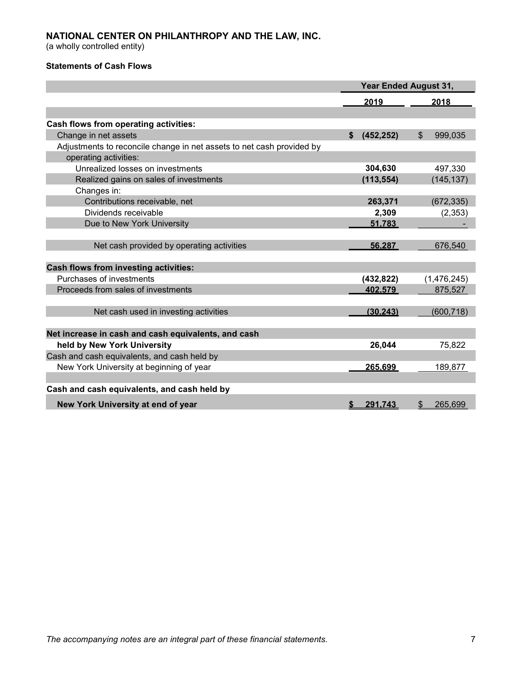(a wholly controlled entity)

# Statements of Cash Flows

|                                                                       | <b>Year Ended August 31,</b> |            |    |             |
|-----------------------------------------------------------------------|------------------------------|------------|----|-------------|
|                                                                       |                              | 2019       |    | 2018        |
|                                                                       |                              |            |    |             |
| Cash flows from operating activities:                                 |                              |            |    |             |
| Change in net assets                                                  | \$                           | (452, 252) | \$ | 999,035     |
| Adjustments to reconcile change in net assets to net cash provided by |                              |            |    |             |
| operating activities:                                                 |                              |            |    |             |
| Unrealized losses on investments                                      |                              | 304,630    |    | 497,330     |
| Realized gains on sales of investments                                |                              | (113, 554) |    | (145, 137)  |
| Changes in:                                                           |                              |            |    |             |
| Contributions receivable, net                                         |                              | 263,371    |    | (672, 335)  |
| Dividends receivable                                                  |                              | 2,309      |    | (2, 353)    |
| Due to New York University                                            |                              | 51.783     |    |             |
|                                                                       |                              |            |    |             |
| Net cash provided by operating activities                             |                              | 56.287     |    | 676,540     |
| <b>Cash flows from investing activities:</b>                          |                              |            |    |             |
| Purchases of investments                                              |                              | (432, 822) |    | (1,476,245) |
| Proceeds from sales of investments                                    |                              | 402.579    |    | 875,527     |
|                                                                       |                              |            |    |             |
| Net cash used in investing activities                                 |                              | (30.243)   |    | (600, 718)  |
| Net increase in cash and cash equivalents, and cash                   |                              |            |    |             |
|                                                                       |                              |            |    |             |
| held by New York University                                           |                              | 26,044     |    | 75,822      |
| Cash and cash equivalents, and cash held by                           |                              |            |    |             |
| New York University at beginning of year                              |                              | 265.699    |    | 189,877     |
| Cash and cash equivalents, and cash held by                           |                              |            |    |             |
| New York University at end of year                                    | \$                           | 291,743    | \$ | 265,699     |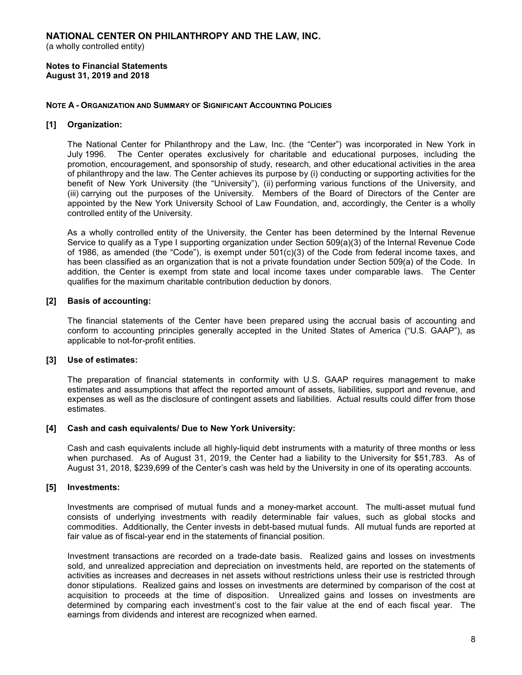(a wholly controlled entity)

Notes to Financial Statements August 31, 2019 and 2018

#### NOTE A - ORGANIZATION AND SUMMARY OF SIGNIFICANT ACCOUNTING POLICIES

## [1] Organization:

The National Center for Philanthropy and the Law, Inc. (the "Center") was incorporated in New York in July 1996. The Center operates exclusively for charitable and educational purposes, including the promotion, encouragement, and sponsorship of study, research, and other educational activities in the area of philanthropy and the law. The Center achieves its purpose by (i) conducting or supporting activities for the benefit of New York University (the "University"), (ii) performing various functions of the University, and (iii) carrying out the purposes of the University. Members of the Board of Directors of the Center are appointed by the New York University School of Law Foundation, and, accordingly, the Center is a wholly controlled entity of the University.

As a wholly controlled entity of the University, the Center has been determined by the Internal Revenue Service to qualify as a Type I supporting organization under Section 509(a)(3) of the Internal Revenue Code of 1986, as amended (the "Code"), is exempt under 501(c)(3) of the Code from federal income taxes, and has been classified as an organization that is not a private foundation under Section 509(a) of the Code. In addition, the Center is exempt from state and local income taxes under comparable laws. The Center qualifies for the maximum charitable contribution deduction by donors.

#### [2] Basis of accounting:

The financial statements of the Center have been prepared using the accrual basis of accounting and conform to accounting principles generally accepted in the United States of America ("U.S. GAAP"), as applicable to not-for-profit entities.

#### [3] Use of estimates:

The preparation of financial statements in conformity with U.S. GAAP requires management to make estimates and assumptions that affect the reported amount of assets, liabilities, support and revenue, and expenses as well as the disclosure of contingent assets and liabilities. Actual results could differ from those estimates.

#### [4] Cash and cash equivalents/ Due to New York University:

Cash and cash equivalents include all highly-liquid debt instruments with a maturity of three months or less when purchased. As of August 31, 2019, the Center had a liability to the University for \$51,783. As of August 31, 2018, \$239,699 of the Center's cash was held by the University in one of its operating accounts.

#### [5] Investments:

Investments are comprised of mutual funds and a money-market account. The multi-asset mutual fund consists of underlying investments with readily determinable fair values, such as global stocks and commodities. Additionally, the Center invests in debt-based mutual funds. All mutual funds are reported at fair value as of fiscal-year end in the statements of financial position.

Investment transactions are recorded on a trade-date basis. Realized gains and losses on investments sold, and unrealized appreciation and depreciation on investments held, are reported on the statements of activities as increases and decreases in net assets without restrictions unless their use is restricted through donor stipulations. Realized gains and losses on investments are determined by comparison of the cost at acquisition to proceeds at the time of disposition. Unrealized gains and losses on investments are determined by comparing each investment's cost to the fair value at the end of each fiscal year. The earnings from dividends and interest are recognized when earned.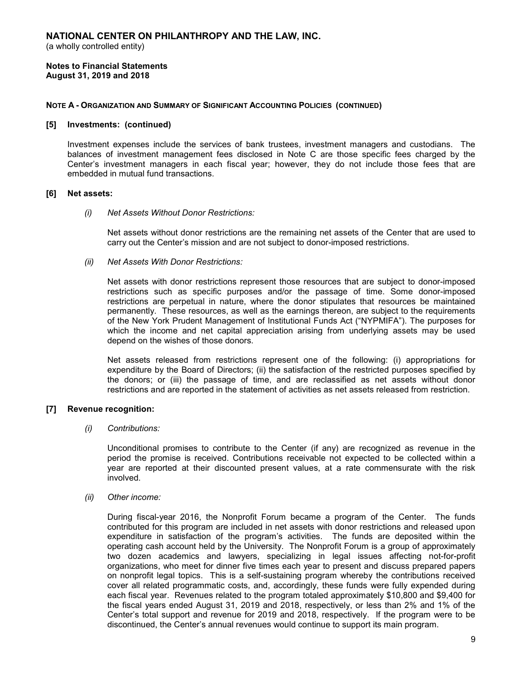#### Notes to Financial Statements August 31, 2019 and 2018

#### NOTE A - ORGANIZATION AND SUMMARY OF SIGNIFICANT ACCOUNTING POLICIES (CONTINUED)

#### [5] Investments: (continued)

Investment expenses include the services of bank trustees, investment managers and custodians. The balances of investment management fees disclosed in Note C are those specific fees charged by the Center's investment managers in each fiscal year; however, they do not include those fees that are embedded in mutual fund transactions.

#### [6] Net assets:

(i) Net Assets Without Donor Restrictions:

Net assets without donor restrictions are the remaining net assets of the Center that are used to carry out the Center's mission and are not subject to donor-imposed restrictions.

(ii) Net Assets With Donor Restrictions:

Net assets with donor restrictions represent those resources that are subject to donor-imposed restrictions such as specific purposes and/or the passage of time. Some donor-imposed restrictions are perpetual in nature, where the donor stipulates that resources be maintained permanently. These resources, as well as the earnings thereon, are subject to the requirements of the New York Prudent Management of Institutional Funds Act ("NYPMIFA"). The purposes for which the income and net capital appreciation arising from underlying assets may be used depend on the wishes of those donors.

Net assets released from restrictions represent one of the following: (i) appropriations for expenditure by the Board of Directors; (ii) the satisfaction of the restricted purposes specified by the donors; or (iii) the passage of time, and are reclassified as net assets without donor restrictions and are reported in the statement of activities as net assets released from restriction.

#### [7] Revenue recognition:

#### (i) Contributions:

Unconditional promises to contribute to the Center (if any) are recognized as revenue in the period the promise is received. Contributions receivable not expected to be collected within a year are reported at their discounted present values, at a rate commensurate with the risk involved.

#### (ii) Other income:

During fiscal-year 2016, the Nonprofit Forum became a program of the Center. The funds contributed for this program are included in net assets with donor restrictions and released upon expenditure in satisfaction of the program's activities. The funds are deposited within the operating cash account held by the University. The Nonprofit Forum is a group of approximately two dozen academics and lawyers, specializing in legal issues affecting not-for-profit organizations, who meet for dinner five times each year to present and discuss prepared papers on nonprofit legal topics. This is a self-sustaining program whereby the contributions received cover all related programmatic costs, and, accordingly, these funds were fully expended during each fiscal year. Revenues related to the program totaled approximately \$10,800 and \$9,400 for the fiscal years ended August 31, 2019 and 2018, respectively, or less than 2% and 1% of the Center's total support and revenue for 2019 and 2018, respectively. If the program were to be discontinued, the Center's annual revenues would continue to support its main program.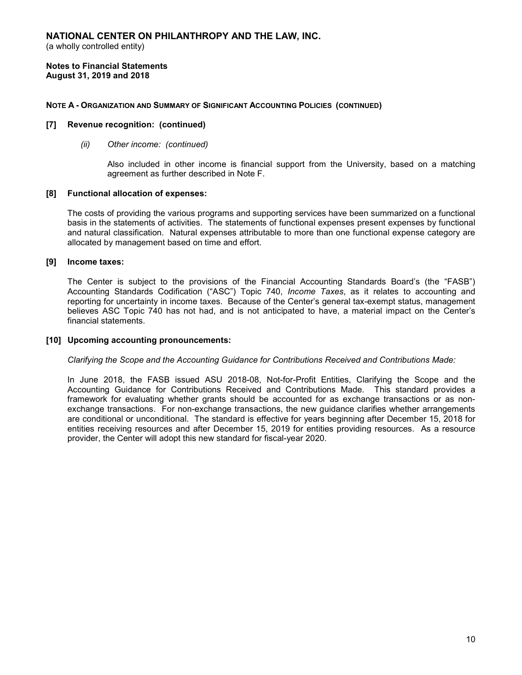(a wholly controlled entity)

Notes to Financial Statements August 31, 2019 and 2018

#### NOTE A - ORGANIZATION AND SUMMARY OF SIGNIFICANT ACCOUNTING POLICIES (CONTINUED)

#### [7] Revenue recognition: (continued)

(ii) Other income: (continued)

Also included in other income is financial support from the University, based on a matching agreement as further described in Note F.

#### [8] Functional allocation of expenses:

The costs of providing the various programs and supporting services have been summarized on a functional basis in the statements of activities. The statements of functional expenses present expenses by functional and natural classification. Natural expenses attributable to more than one functional expense category are allocated by management based on time and effort.

#### [9] Income taxes:

The Center is subject to the provisions of the Financial Accounting Standards Board's (the "FASB") Accounting Standards Codification ("ASC") Topic 740, Income Taxes, as it relates to accounting and reporting for uncertainty in income taxes. Because of the Center's general tax-exempt status, management believes ASC Topic 740 has not had, and is not anticipated to have, a material impact on the Center's financial statements.

#### [10] Upcoming accounting pronouncements:

#### Clarifying the Scope and the Accounting Guidance for Contributions Received and Contributions Made:

In June 2018, the FASB issued ASU 2018-08, Not-for-Profit Entities, Clarifying the Scope and the Accounting Guidance for Contributions Received and Contributions Made. This standard provides a framework for evaluating whether grants should be accounted for as exchange transactions or as nonexchange transactions. For non-exchange transactions, the new guidance clarifies whether arrangements are conditional or unconditional. The standard is effective for years beginning after December 15, 2018 for entities receiving resources and after December 15, 2019 for entities providing resources. As a resource provider, the Center will adopt this new standard for fiscal-year 2020.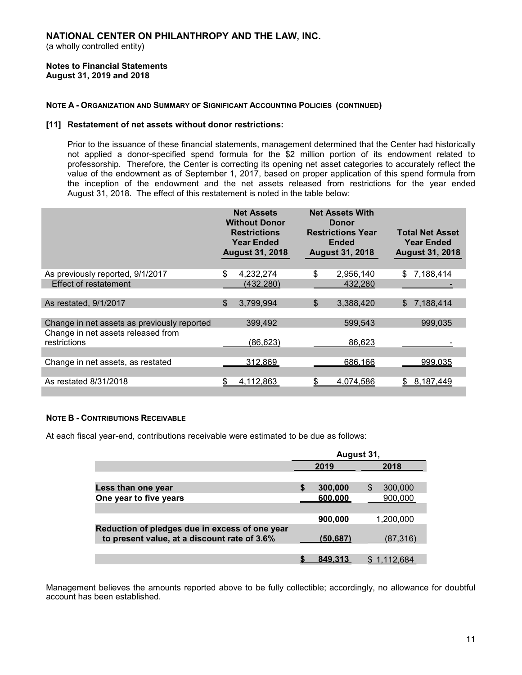#### Notes to Financial Statements August 31, 2019 and 2018

## NOTE A - ORGANIZATION AND SUMMARY OF SIGNIFICANT ACCOUNTING POLICIES (CONTINUED)

## [11] Restatement of net assets without donor restrictions:

Prior to the issuance of these financial statements, management determined that the Center had historically not applied a donor-specified spend formula for the \$2 million portion of its endowment related to professorship. Therefore, the Center is correcting its opening net asset categories to accurately reflect the value of the endowment as of September 1, 2017, based on proper application of this spend formula from the inception of the endowment and the net assets released from restrictions for the year ended August 31, 2018. The effect of this restatement is noted in the table below:

|                                             | <b>Net Assets</b><br><b>Without Donor</b><br><b>Restrictions</b><br><b>Year Ended</b><br><b>August 31, 2018</b> |            | <b>Net Assets With</b><br><b>Donor</b><br><b>Restrictions Year</b><br><b>Ended</b><br><b>August 31, 2018</b> |     | <b>Total Net Asset</b><br><b>Year Ended</b><br><b>August 31, 2018</b> |
|---------------------------------------------|-----------------------------------------------------------------------------------------------------------------|------------|--------------------------------------------------------------------------------------------------------------|-----|-----------------------------------------------------------------------|
| As previously reported, 9/1/2017            | S                                                                                                               | 4,232,274  | \$<br>2,956,140                                                                                              | \$. | 7,188,414                                                             |
| <b>Effect of restatement</b>                |                                                                                                                 | (432, 280) | 432,280                                                                                                      |     |                                                                       |
|                                             |                                                                                                                 |            |                                                                                                              |     |                                                                       |
| As restated, 9/1/2017                       | \$                                                                                                              | 3,799,994  | \$<br>3,388,420                                                                                              | \$  | 7,188,414                                                             |
|                                             |                                                                                                                 |            |                                                                                                              |     |                                                                       |
| Change in net assets as previously reported |                                                                                                                 | 399,492    | 599,543                                                                                                      |     | 999,035                                                               |
| Change in net assets released from          |                                                                                                                 |            |                                                                                                              |     |                                                                       |
| restrictions                                |                                                                                                                 | (86, 623)  | 86,623                                                                                                       |     |                                                                       |
|                                             |                                                                                                                 |            |                                                                                                              |     |                                                                       |
| Change in net assets, as restated           |                                                                                                                 | 312,869    | 686,166                                                                                                      |     | 999,035                                                               |
|                                             |                                                                                                                 |            |                                                                                                              |     |                                                                       |
| As restated 8/31/2018                       | \$.                                                                                                             | 4,112,863  | \$<br>4.074.586                                                                                              |     | \$8,187,449                                                           |
|                                             |                                                                                                                 |            |                                                                                                              |     |                                                                       |

#### NOTE B - CONTRIBUTIONS RECEIVABLE

At each fiscal year-end, contributions receivable were estimated to be due as follows:

|                                                | August 31, |          |              |  |  |  |
|------------------------------------------------|------------|----------|--------------|--|--|--|
|                                                |            | 2019     | 2018         |  |  |  |
|                                                |            |          |              |  |  |  |
| Less than one year                             |            | 300,000  | S<br>300,000 |  |  |  |
| One year to five years                         |            | 600.000  | 900,000      |  |  |  |
|                                                |            |          |              |  |  |  |
|                                                |            | 900,000  | 1.200.000    |  |  |  |
| Reduction of pledges due in excess of one year |            |          |              |  |  |  |
| to present value, at a discount rate of 3.6%   |            | (50.687) | (87,316)     |  |  |  |
|                                                |            |          |              |  |  |  |
|                                                |            | 849.31.  | 12.684       |  |  |  |

Management believes the amounts reported above to be fully collectible; accordingly, no allowance for doubtful account has been established.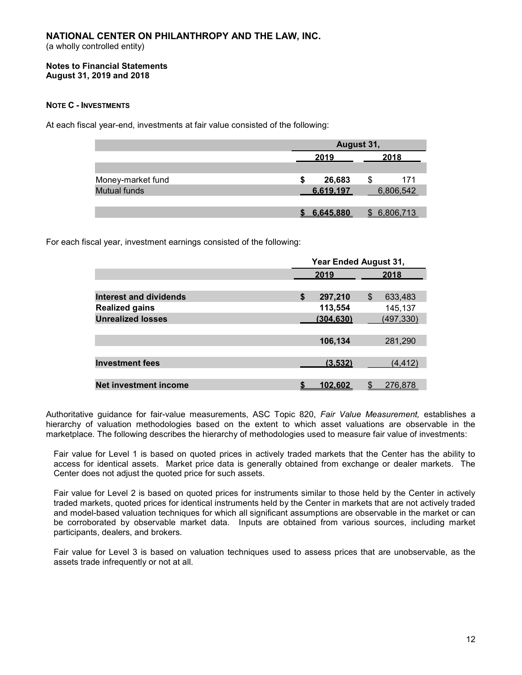#### Notes to Financial Statements August 31, 2019 and 2018

# NOTE C - INVESTMENTS

At each fiscal year-end, investments at fair value consisted of the following:

|                     | August 31, |           |    |           |  |  |
|---------------------|------------|-----------|----|-----------|--|--|
|                     |            | 2019      |    | 2018      |  |  |
|                     |            |           |    |           |  |  |
| Money-market fund   | S          | 26,683    | \$ | 171       |  |  |
| <b>Mutual funds</b> |            | 6.619.197 |    | 6,806,542 |  |  |
|                     |            |           |    |           |  |  |
|                     |            | 6.645.880 |    | 6.806.713 |  |  |

For each fiscal year, investment earnings consisted of the following:

|                              | Year Ended August 31, |    |            |  |  |  |
|------------------------------|-----------------------|----|------------|--|--|--|
|                              | 2019                  |    | 2018       |  |  |  |
|                              |                       |    |            |  |  |  |
| Interest and dividends       | \$<br>297,210         | \$ | 633,483    |  |  |  |
| <b>Realized gains</b>        | 113,554               |    | 145,137    |  |  |  |
| <b>Unrealized losses</b>     | (304.630)             |    | (497, 330) |  |  |  |
|                              |                       |    |            |  |  |  |
|                              | 106,134               |    | 281,290    |  |  |  |
|                              |                       |    |            |  |  |  |
| <b>Investment fees</b>       | (3.532)               |    | (4, 412)   |  |  |  |
|                              |                       |    |            |  |  |  |
| <b>Net investment income</b> | 102.602               | S  | 276,878    |  |  |  |

Authoritative guidance for fair-value measurements, ASC Topic 820, Fair Value Measurement, establishes a hierarchy of valuation methodologies based on the extent to which asset valuations are observable in the marketplace. The following describes the hierarchy of methodologies used to measure fair value of investments:

Fair value for Level 1 is based on quoted prices in actively traded markets that the Center has the ability to access for identical assets. Market price data is generally obtained from exchange or dealer markets. The Center does not adjust the quoted price for such assets.

Fair value for Level 2 is based on quoted prices for instruments similar to those held by the Center in actively traded markets, quoted prices for identical instruments held by the Center in markets that are not actively traded and model-based valuation techniques for which all significant assumptions are observable in the market or can be corroborated by observable market data. Inputs are obtained from various sources, including market participants, dealers, and brokers.

Fair value for Level 3 is based on valuation techniques used to assess prices that are unobservable, as the assets trade infrequently or not at all.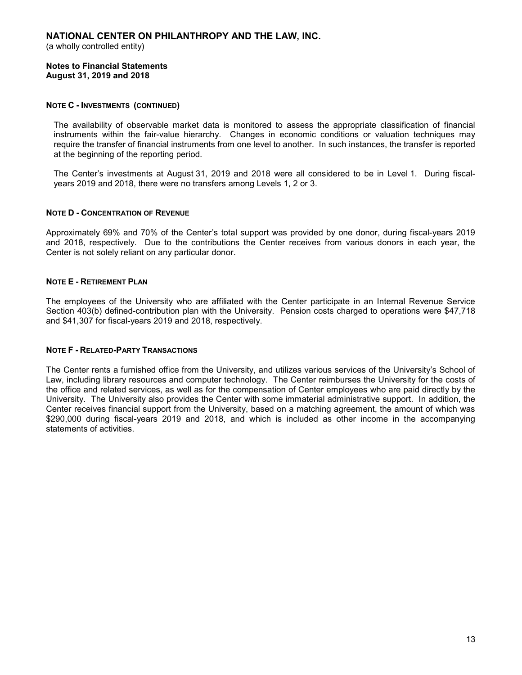(a wholly controlled entity)

#### Notes to Financial Statements August 31, 2019 and 2018

## NOTE C - INVESTMENTS (CONTINUED)

The availability of observable market data is monitored to assess the appropriate classification of financial instruments within the fair-value hierarchy. Changes in economic conditions or valuation techniques may require the transfer of financial instruments from one level to another. In such instances, the transfer is reported at the beginning of the reporting period.

The Center's investments at August 31, 2019 and 2018 were all considered to be in Level 1. During fiscalyears 2019 and 2018, there were no transfers among Levels 1, 2 or 3.

# NOTE D - CONCENTRATION OF REVENUE

Approximately 69% and 70% of the Center's total support was provided by one donor, during fiscal-years 2019 and 2018, respectively. Due to the contributions the Center receives from various donors in each year, the Center is not solely reliant on any particular donor.

# NOTE E - RETIREMENT PLAN

The employees of the University who are affiliated with the Center participate in an Internal Revenue Service Section 403(b) defined-contribution plan with the University. Pension costs charged to operations were \$47,718 and \$41,307 for fiscal-years 2019 and 2018, respectively.

#### NOTE F - RELATED-PARTY TRANSACTIONS

The Center rents a furnished office from the University, and utilizes various services of the University's School of Law, including library resources and computer technology. The Center reimburses the University for the costs of the office and related services, as well as for the compensation of Center employees who are paid directly by the University. The University also provides the Center with some immaterial administrative support. In addition, the Center receives financial support from the University, based on a matching agreement, the amount of which was \$290,000 during fiscal-years 2019 and 2018, and which is included as other income in the accompanying statements of activities.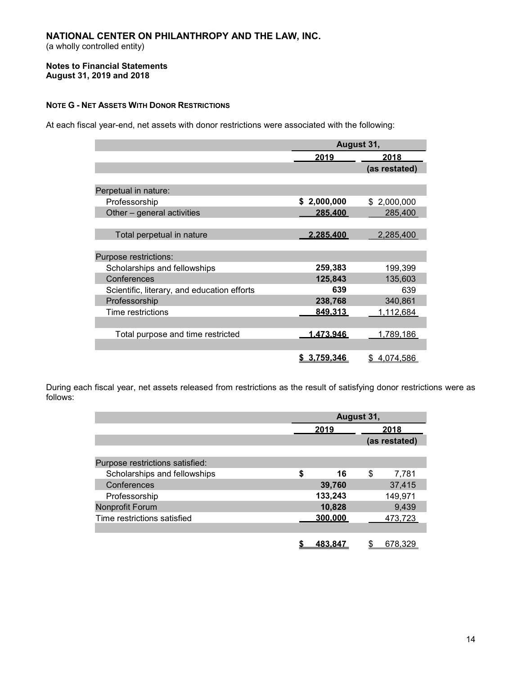(a wholly controlled entity)

#### Notes to Financial Statements August 31, 2019 and 2018

# NOTE G - NET ASSETS WITH DONOR RESTRICTIONS

At each fiscal year-end, net assets with donor restrictions were associated with the following:

|                                             | August 31,         |               |  |  |
|---------------------------------------------|--------------------|---------------|--|--|
|                                             | 2019               | 2018          |  |  |
|                                             |                    | (as restated) |  |  |
|                                             |                    |               |  |  |
| Perpetual in nature:                        |                    |               |  |  |
| Professorship                               | 2,000,000<br>\$    | \$2,000,000   |  |  |
| Other – general activities                  | 285.400            | 285,400       |  |  |
|                                             |                    |               |  |  |
| Total perpetual in nature                   | <u>2.285.400</u>   | 2,285,400     |  |  |
|                                             |                    |               |  |  |
| Purpose restrictions:                       |                    |               |  |  |
| Scholarships and fellowships                | 259,383            | 199,399       |  |  |
| Conferences                                 | 125,843            | 135,603       |  |  |
| Scientific, literary, and education efforts | 639                | 639           |  |  |
| Professorship                               | 238,768            | 340,861       |  |  |
| Time restrictions                           | 849.313            | 1,112,684     |  |  |
|                                             |                    |               |  |  |
| Total purpose and time restricted           | <u>1.473.946</u>   | 1,789,186     |  |  |
|                                             |                    |               |  |  |
|                                             | <u>\$3,759,346</u> | \$4,074,586   |  |  |

During each fiscal year, net assets released from restrictions as the result of satisfying donor restrictions were as follows:

|                                 | August 31, |    |               |  |
|---------------------------------|------------|----|---------------|--|
|                                 | 2019       |    | 2018          |  |
|                                 |            |    | (as restated) |  |
|                                 |            |    |               |  |
| Purpose restrictions satisfied: |            |    |               |  |
| Scholarships and fellowships    | \$<br>16   | \$ | 7,781         |  |
| Conferences                     | 39,760     |    | 37,415        |  |
| Professorship                   | 133,243    |    | 149,971       |  |
| Nonprofit Forum                 | 10,828     |    | 9,439         |  |
| Time restrictions satisfied     | 300.000    |    | 473,723       |  |
|                                 |            |    |               |  |
|                                 | 483.84     |    |               |  |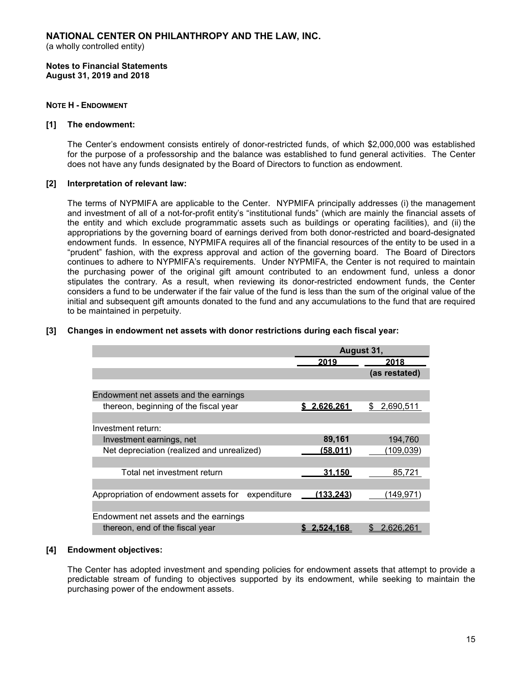(a wholly controlled entity)

Notes to Financial Statements August 31, 2019 and 2018

## NOTE H - ENDOWMENT

#### [1] The endowment:

The Center's endowment consists entirely of donor-restricted funds, of which \$2,000,000 was established for the purpose of a professorship and the balance was established to fund general activities. The Center does not have any funds designated by the Board of Directors to function as endowment.

#### [2] Interpretation of relevant law:

The terms of NYPMIFA are applicable to the Center. NYPMIFA principally addresses (i) the management and investment of all of a not-for-profit entity's "institutional funds" (which are mainly the financial assets of the entity and which exclude programmatic assets such as buildings or operating facilities), and (ii) the appropriations by the governing board of earnings derived from both donor-restricted and board-designated endowment funds. In essence, NYPMIFA requires all of the financial resources of the entity to be used in a "prudent" fashion, with the express approval and action of the governing board. The Board of Directors continues to adhere to NYPMIFA's requirements. Under NYPMIFA, the Center is not required to maintain the purchasing power of the original gift amount contributed to an endowment fund, unless a donor stipulates the contrary. As a result, when reviewing its donor-restricted endowment funds, the Center considers a fund to be underwater if the fair value of the fund is less than the sum of the original value of the initial and subsequent gift amounts donated to the fund and any accumulations to the fund that are required to be maintained in perpetuity.

|                                                      | August 31,         |                  |  |
|------------------------------------------------------|--------------------|------------------|--|
|                                                      | 2019               | 2018             |  |
|                                                      |                    | (as restated)    |  |
|                                                      |                    |                  |  |
| Endowment net assets and the earnings                |                    |                  |  |
| thereon, beginning of the fiscal year                | <u>\$2.626.261</u> | 2,690,511<br>\$. |  |
|                                                      |                    |                  |  |
| Investment return:                                   |                    |                  |  |
| Investment earnings, net                             | 89,161             | 194,760          |  |
| Net depreciation (realized and unrealized)           | (58.011)           | (109, 039)       |  |
|                                                      |                    |                  |  |
| Total net investment return                          | 31.150             | 85,721           |  |
|                                                      |                    |                  |  |
| Appropriation of endowment assets for<br>expenditure | <u>(133.243)</u>   | 149,971)         |  |
|                                                      |                    |                  |  |
| Endowment net assets and the earnings                |                    |                  |  |
| thereon, end of the fiscal year                      | 2.524.168          | 2.626.26<br>S    |  |

# [3] Changes in endowment net assets with donor restrictions during each fiscal year:

#### [4] Endowment objectives:

The Center has adopted investment and spending policies for endowment assets that attempt to provide a predictable stream of funding to objectives supported by its endowment, while seeking to maintain the purchasing power of the endowment assets.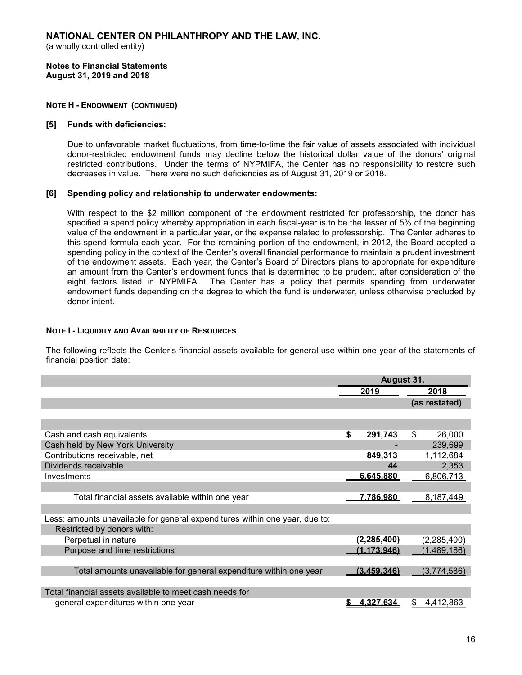(a wholly controlled entity)

Notes to Financial Statements August 31, 2019 and 2018

## NOTE H - ENDOWMENT (CONTINUED)

## [5] Funds with deficiencies:

Due to unfavorable market fluctuations, from time-to-time the fair value of assets associated with individual donor-restricted endowment funds may decline below the historical dollar value of the donors' original restricted contributions. Under the terms of NYPMIFA, the Center has no responsibility to restore such decreases in value. There were no such deficiencies as of August 31, 2019 or 2018.

## [6] Spending policy and relationship to underwater endowments:

With respect to the \$2 million component of the endowment restricted for professorship, the donor has specified a spend policy whereby appropriation in each fiscal-year is to be the lesser of 5% of the beginning value of the endowment in a particular year, or the expense related to professorship. The Center adheres to this spend formula each year. For the remaining portion of the endowment, in 2012, the Board adopted a spending policy in the context of the Center's overall financial performance to maintain a prudent investment of the endowment assets. Each year, the Center's Board of Directors plans to appropriate for expenditure an amount from the Center's endowment funds that is determined to be prudent, after consideration of the eight factors listed in NYPMIFA. The Center has a policy that permits spending from underwater endowment funds depending on the degree to which the fund is underwater, unless otherwise precluded by donor intent.

#### NOTE I - LIQUIDITY AND AVAILABILITY OF RESOURCES

The following reflects the Center's financial assets available for general use within one year of the statements of financial position date:

|                                                                             | August 31, |                  |                 |
|-----------------------------------------------------------------------------|------------|------------------|-----------------|
|                                                                             |            | 2019             | 2018            |
|                                                                             |            |                  | (as restated)   |
|                                                                             |            |                  |                 |
|                                                                             |            |                  |                 |
| Cash and cash equivalents                                                   | \$         | 291,743          | \$<br>26,000    |
| Cash held by New York University                                            |            |                  | 239,699         |
| Contributions receivable, net                                               |            | 849,313          | 1,112,684       |
| Dividends receivable                                                        |            | 44               | 2,353           |
| Investments                                                                 |            | 6.645.880        | 6,806,713       |
|                                                                             |            |                  |                 |
| Total financial assets available within one year                            |            | <u>7.786.980</u> | 8,187,449       |
|                                                                             |            |                  |                 |
| Less: amounts unavailable for general expenditures within one year, due to: |            |                  |                 |
| Restricted by donors with:                                                  |            |                  |                 |
| Perpetual in nature                                                         |            | (2, 285, 400)    | (2, 285, 400)   |
| Purpose and time restrictions                                               |            | (1.173.946)      | (1, 489, 186)   |
|                                                                             |            |                  |                 |
| Total amounts unavailable for general expenditure within one year           |            | (3.459.346)      | (3,774,586)     |
|                                                                             |            |                  |                 |
| Total financial assets available to meet cash needs for                     |            |                  |                 |
| general expenditures within one year                                        |            | 4,327,634        | 4,412,863<br>\$ |